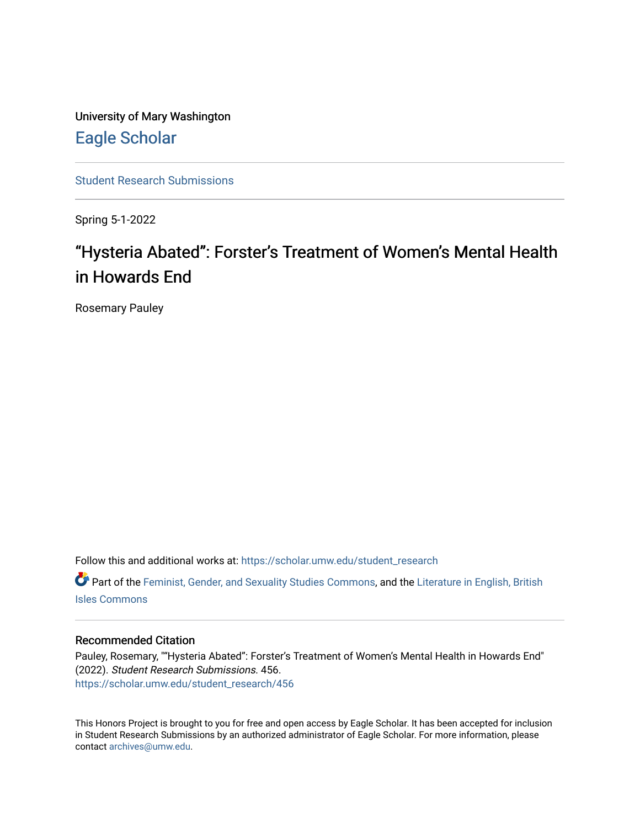University of Mary Washington [Eagle Scholar](https://scholar.umw.edu/) 

[Student Research Submissions](https://scholar.umw.edu/student_research) 

Spring 5-1-2022

## "Hysteria Abated": Forster's Treatment of Women's Mental Health in Howards End

Rosemary Pauley

Follow this and additional works at: [https://scholar.umw.edu/student\\_research](https://scholar.umw.edu/student_research?utm_source=scholar.umw.edu%2Fstudent_research%2F456&utm_medium=PDF&utm_campaign=PDFCoverPages)

**C** Part of the [Feminist, Gender, and Sexuality Studies Commons](https://network.bepress.com/hgg/discipline/559?utm_source=scholar.umw.edu%2Fstudent_research%2F456&utm_medium=PDF&utm_campaign=PDFCoverPages), and the Literature in English, British [Isles Commons](https://network.bepress.com/hgg/discipline/456?utm_source=scholar.umw.edu%2Fstudent_research%2F456&utm_medium=PDF&utm_campaign=PDFCoverPages)

## Recommended Citation

Pauley, Rosemary, ""Hysteria Abated": Forster's Treatment of Women's Mental Health in Howards End" (2022). Student Research Submissions. 456. [https://scholar.umw.edu/student\\_research/456](https://scholar.umw.edu/student_research/456?utm_source=scholar.umw.edu%2Fstudent_research%2F456&utm_medium=PDF&utm_campaign=PDFCoverPages)

This Honors Project is brought to you for free and open access by Eagle Scholar. It has been accepted for inclusion in Student Research Submissions by an authorized administrator of Eagle Scholar. For more information, please contact [archives@umw.edu](mailto:archives@umw.edu).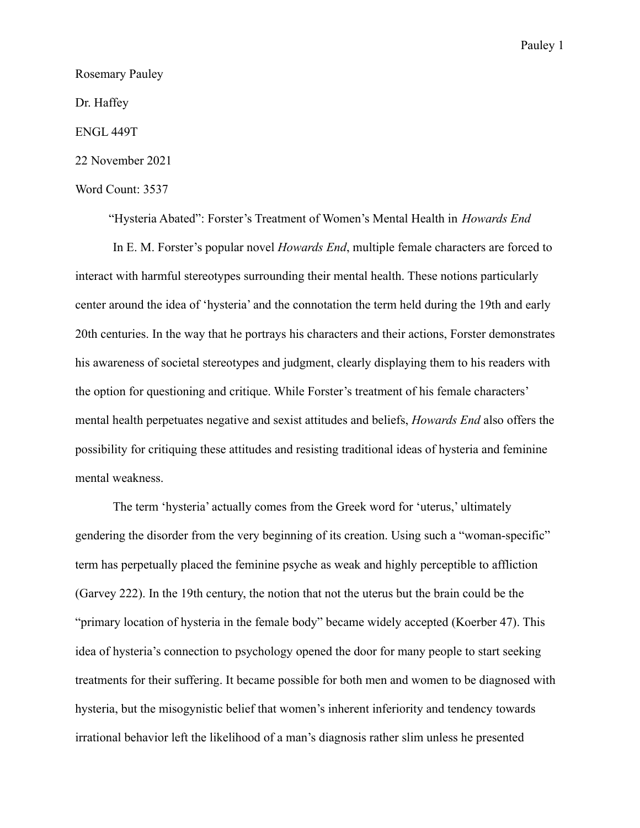Rosemary Pauley

Dr. Haffey

ENGL 449T

22 November 2021

## Word Count: 3537

"Hysteria Abated": Forster's Treatment of Women's Mental Health in *Howards End* In E. M. Forster's popular novel *Howards End*, multiple female characters are forced to interact with harmful stereotypes surrounding their mental health. These notions particularly center around the idea of 'hysteria' and the connotation the term held during the 19th and early 20th centuries. In the way that he portrays his characters and their actions, Forster demonstrates his awareness of societal stereotypes and judgment, clearly displaying them to his readers with the option for questioning and critique. While Forster's treatment of his female characters' mental health perpetuates negative and sexist attitudes and beliefs, *Howards End* also offers the possibility for critiquing these attitudes and resisting traditional ideas of hysteria and feminine mental weakness.

The term 'hysteria' actually comes from the Greek word for 'uterus,' ultimately gendering the disorder from the very beginning of its creation. Using such a "woman-specific" term has perpetually placed the feminine psyche as weak and highly perceptible to affliction (Garvey 222). In the 19th century, the notion that not the uterus but the brain could be the "primary location of hysteria in the female body" became widely accepted (Koerber 47). This idea of hysteria's connection to psychology opened the door for many people to start seeking treatments for their suffering. It became possible for both men and women to be diagnosed with hysteria, but the misogynistic belief that women's inherent inferiority and tendency towards irrational behavior left the likelihood of a man's diagnosis rather slim unless he presented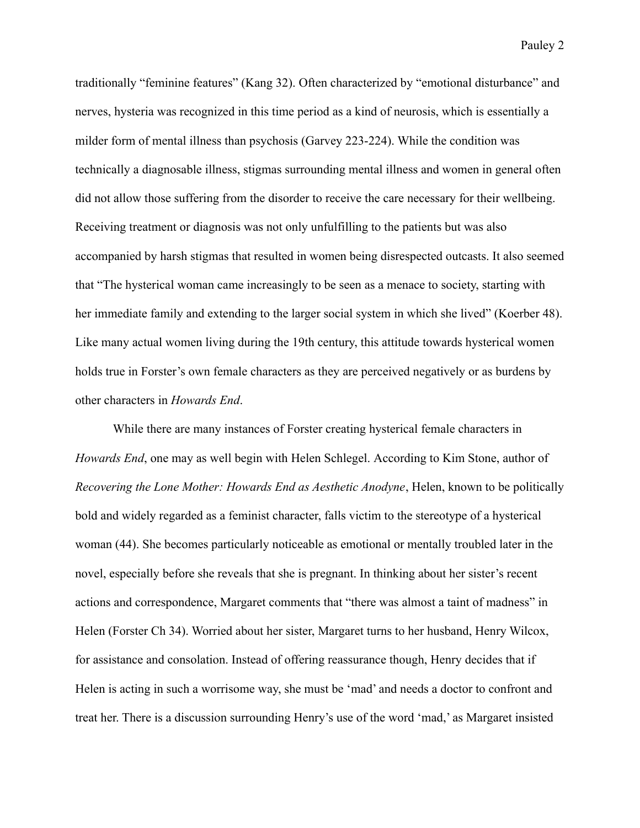traditionally "feminine features" (Kang 32). Often characterized by "emotional disturbance" and nerves, hysteria was recognized in this time period as a kind of neurosis, which is essentially a milder form of mental illness than psychosis (Garvey 223-224). While the condition was technically a diagnosable illness, stigmas surrounding mental illness and women in general often did not allow those suffering from the disorder to receive the care necessary for their wellbeing. Receiving treatment or diagnosis was not only unfulfilling to the patients but was also accompanied by harsh stigmas that resulted in women being disrespected outcasts. It also seemed that "The hysterical woman came increasingly to be seen as a menace to society, starting with her immediate family and extending to the larger social system in which she lived" (Koerber 48).

Like many actual women living during the 19th century, this attitude towards hysterical women holds true in Forster's own female characters as they are perceived negatively or as burdens by other characters in *Howards End*.

While there are many instances of Forster creating hysterical female characters in *Howards End*, one may as well begin with Helen Schlegel. According to Kim Stone, author of *Recovering the Lone Mother: Howards End as Aesthetic Anodyne*, Helen, known to be politically bold and widely regarded as a feminist character, falls victim to the stereotype of a hysterical woman (44). She becomes particularly noticeable as emotional or mentally troubled later in the novel, especially before she reveals that she is pregnant. In thinking about her sister's recent actions and correspondence, Margaret comments that "there was almost a taint of madness" in Helen (Forster Ch 34). Worried about her sister, Margaret turns to her husband, Henry Wilcox, for assistance and consolation. Instead of offering reassurance though, Henry decides that if Helen is acting in such a worrisome way, she must be 'mad' and needs a doctor to confront and treat her. There is a discussion surrounding Henry's use of the word 'mad,' as Margaret insisted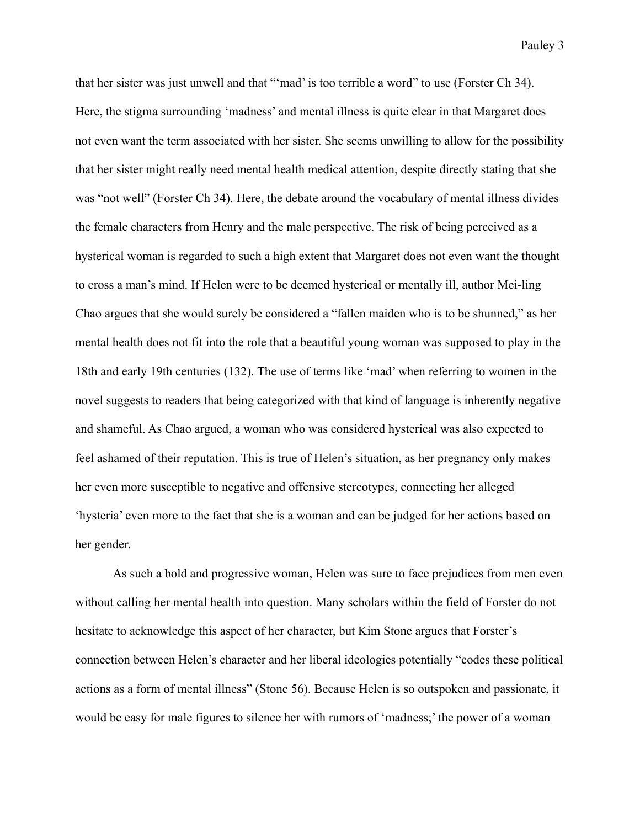that her sister was just unwell and that "'mad' is too terrible a word" to use (Forster Ch 34). Here, the stigma surrounding 'madness' and mental illness is quite clear in that Margaret does not even want the term associated with her sister. She seems unwilling to allow for the possibility that her sister might really need mental health medical attention, despite directly stating that she was "not well" (Forster Ch 34). Here, the debate around the vocabulary of mental illness divides the female characters from Henry and the male perspective. The risk of being perceived as a hysterical woman is regarded to such a high extent that Margaret does not even want the thought to cross a man's mind. If Helen were to be deemed hysterical or mentally ill, author Mei-ling Chao argues that she would surely be considered a "fallen maiden who is to be shunned," as her mental health does not fit into the role that a beautiful young woman was supposed to play in the 18th and early 19th centuries (132). The use of terms like 'mad' when referring to women in the novel suggests to readers that being categorized with that kind of language is inherently negative and shameful. As Chao argued, a woman who was considered hysterical was also expected to feel ashamed of their reputation. This is true of Helen's situation, as her pregnancy only makes her even more susceptible to negative and offensive stereotypes, connecting her alleged 'hysteria' even more to the fact that she is a woman and can be judged for her actions based on her gender.

As such a bold and progressive woman, Helen was sure to face prejudices from men even without calling her mental health into question. Many scholars within the field of Forster do not hesitate to acknowledge this aspect of her character, but Kim Stone argues that Forster's connection between Helen's character and her liberal ideologies potentially "codes these political actions as a form of mental illness" (Stone 56). Because Helen is so outspoken and passionate, it would be easy for male figures to silence her with rumors of 'madness;' the power of a woman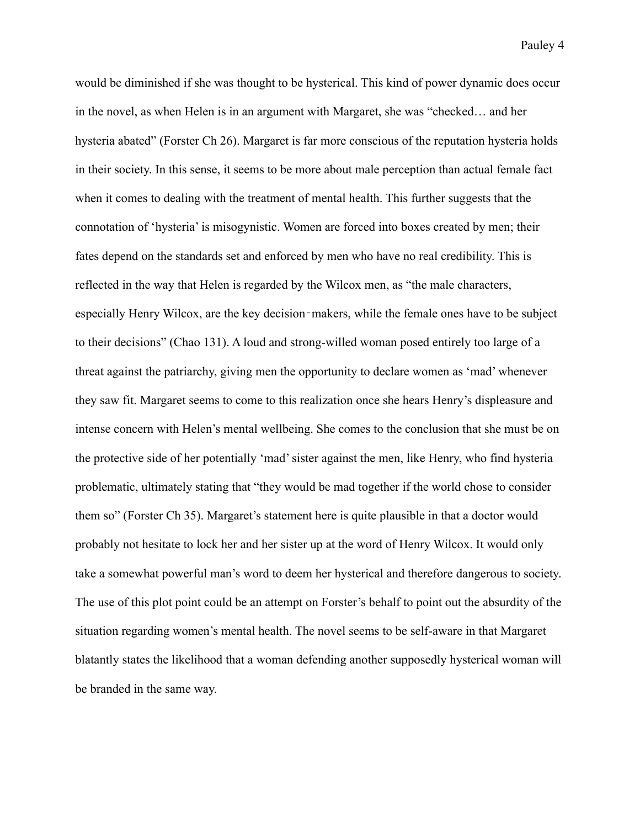would be diminished if she was thought to be hysterical. This kind of power dynamic does occur in the novel, as when Helen is in an argument with Margaret, she was "checked… and her hysteria abated" (Forster Ch 26). Margaret is far more conscious of the reputation hysteria holds in their society. In this sense, it seems to be more about male perception than actual female fact when it comes to dealing with the treatment of mental health. This further suggests that the connotation of 'hysteria' is misogynistic. Women are forced into boxes created by men; their fates depend on the standards set and enforced by men who have no real credibility. This is reflected in the way that Helen is regarded by the Wilcox men, as "the male characters, especially Henry Wilcox, are the key decision‐makers, while the female ones have to be subject to their decisions" (Chao 131). A loud and strong-willed woman posed entirely too large of a threat against the patriarchy, giving men the opportunity to declare women as 'mad' whenever they saw fit. Margaret seems to come to this realization once she hears Henry's displeasure and intense concern with Helen's mental wellbeing. She comes to the conclusion that she must be on the protective side of her potentially 'mad' sister against the men, like Henry, who find hysteria problematic, ultimately stating that "they would be mad together if the world chose to consider them so" (Forster Ch 35). Margaret's statement here is quite plausible in that a doctor would probably not hesitate to lock her and her sister up at the word of Henry Wilcox. It would only take a somewhat powerful man's word to deem her hysterical and therefore dangerous to society. The use of this plot point could be an attempt on Forster's behalf to point out the absurdity of the situation regarding women's mental health. The novel seems to be self-aware in that Margaret blatantly states the likelihood that a woman defending another supposedly hysterical woman will be branded in the same way.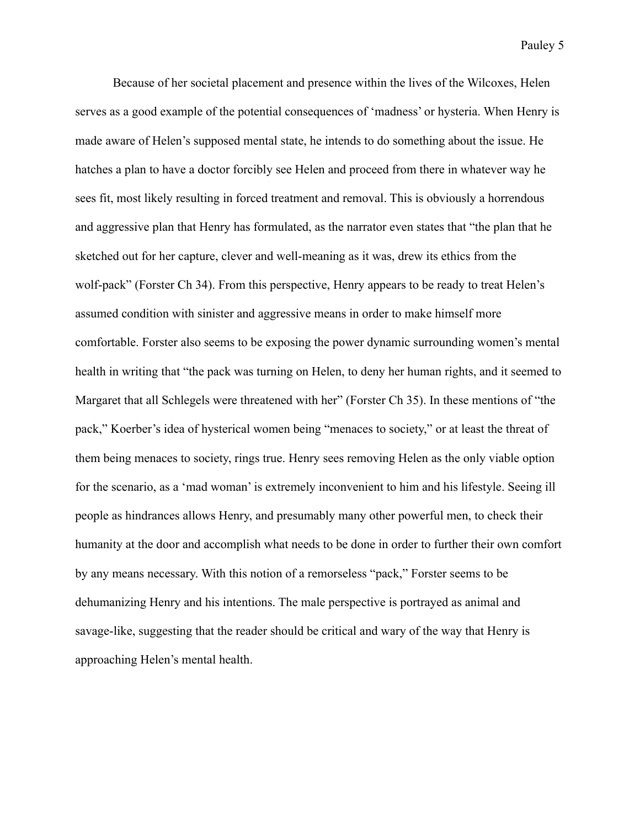Because of her societal placement and presence within the lives of the Wilcoxes, Helen serves as a good example of the potential consequences of 'madness' or hysteria. When Henry is made aware of Helen's supposed mental state, he intends to do something about the issue. He hatches a plan to have a doctor forcibly see Helen and proceed from there in whatever way he sees fit, most likely resulting in forced treatment and removal. This is obviously a horrendous and aggressive plan that Henry has formulated, as the narrator even states that "the plan that he sketched out for her capture, clever and well-meaning as it was, drew its ethics from the wolf-pack" (Forster Ch 34). From this perspective, Henry appears to be ready to treat Helen's assumed condition with sinister and aggressive means in order to make himself more comfortable. Forster also seems to be exposing the power dynamic surrounding women's mental health in writing that "the pack was turning on Helen, to deny her human rights, and it seemed to Margaret that all Schlegels were threatened with her" (Forster Ch 35). In these mentions of "the pack," Koerber's idea of hysterical women being "menaces to society," or at least the threat of them being menaces to society, rings true. Henry sees removing Helen as the only viable option for the scenario, as a 'mad woman' is extremely inconvenient to him and his lifestyle. Seeing ill people as hindrances allows Henry, and presumably many other powerful men, to check their humanity at the door and accomplish what needs to be done in order to further their own comfort by any means necessary. With this notion of a remorseless "pack," Forster seems to be dehumanizing Henry and his intentions. The male perspective is portrayed as animal and savage-like, suggesting that the reader should be critical and wary of the way that Henry is approaching Helen's mental health.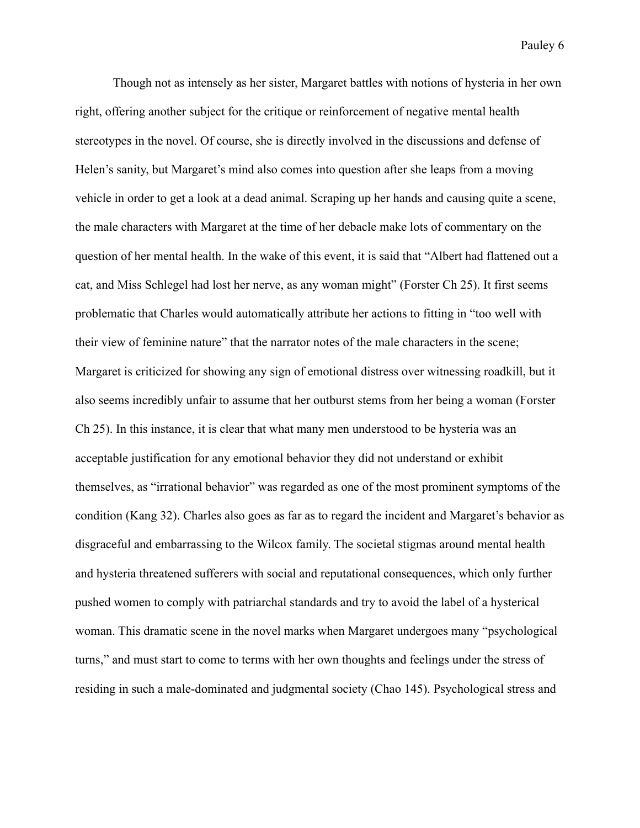Though not as intensely as her sister, Margaret battles with notions of hysteria in her own right, offering another subject for the critique or reinforcement of negative mental health stereotypes in the novel. Of course, she is directly involved in the discussions and defense of Helen's sanity, but Margaret's mind also comes into question after she leaps from a moving vehicle in order to get a look at a dead animal. Scraping up her hands and causing quite a scene, the male characters with Margaret at the time of her debacle make lots of commentary on the question of her mental health. In the wake of this event, it is said that "Albert had flattened out a cat, and Miss Schlegel had lost her nerve, as any woman might" (Forster Ch 25). It first seems problematic that Charles would automatically attribute her actions to fitting in "too well with their view of feminine nature" that the narrator notes of the male characters in the scene; Margaret is criticized for showing any sign of emotional distress over witnessing roadkill, but it also seems incredibly unfair to assume that her outburst stems from her being a woman (Forster Ch 25). In this instance, it is clear that what many men understood to be hysteria was an acceptable justification for any emotional behavior they did not understand or exhibit themselves, as "irrational behavior" was regarded as one of the most prominent symptoms of the condition (Kang 32). Charles also goes as far as to regard the incident and Margaret's behavior as disgraceful and embarrassing to the Wilcox family. The societal stigmas around mental health and hysteria threatened sufferers with social and reputational consequences, which only further pushed women to comply with patriarchal standards and try to avoid the label of a hysterical woman. This dramatic scene in the novel marks when Margaret undergoes many "psychological turns," and must start to come to terms with her own thoughts and feelings under the stress of residing in such a male-dominated and judgmental society (Chao 145). Psychological stress and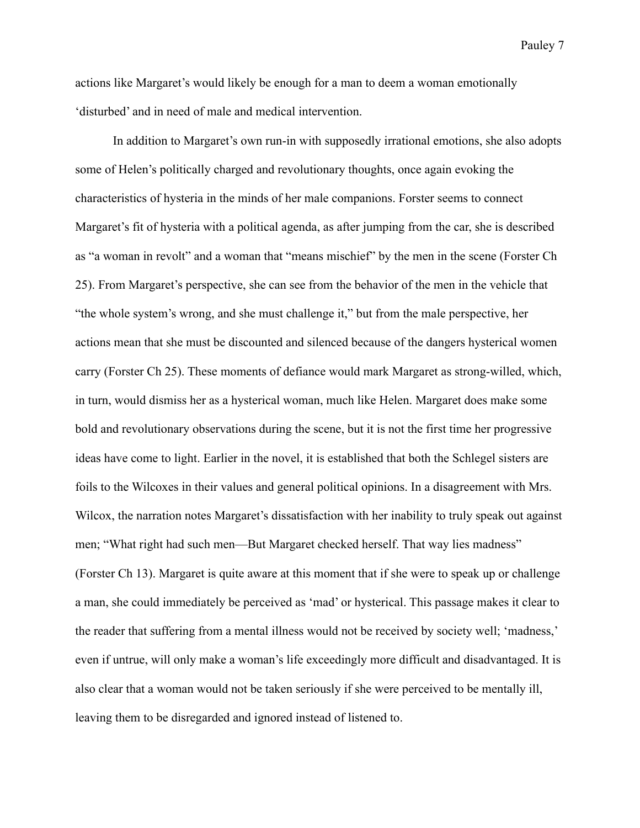actions like Margaret's would likely be enough for a man to deem a woman emotionally 'disturbed' and in need of male and medical intervention.

In addition to Margaret's own run-in with supposedly irrational emotions, she also adopts some of Helen's politically charged and revolutionary thoughts, once again evoking the characteristics of hysteria in the minds of her male companions. Forster seems to connect Margaret's fit of hysteria with a political agenda, as after jumping from the car, she is described as "a woman in revolt" and a woman that "means mischief" by the men in the scene (Forster Ch 25). From Margaret's perspective, she can see from the behavior of the men in the vehicle that "the whole system's wrong, and she must challenge it," but from the male perspective, her actions mean that she must be discounted and silenced because of the dangers hysterical women carry (Forster Ch 25). These moments of defiance would mark Margaret as strong-willed, which, in turn, would dismiss her as a hysterical woman, much like Helen. Margaret does make some bold and revolutionary observations during the scene, but it is not the first time her progressive ideas have come to light. Earlier in the novel, it is established that both the Schlegel sisters are foils to the Wilcoxes in their values and general political opinions. In a disagreement with Mrs. Wilcox, the narration notes Margaret's dissatisfaction with her inability to truly speak out against men; "What right had such men—But Margaret checked herself. That way lies madness" (Forster Ch 13). Margaret is quite aware at this moment that if she were to speak up or challenge a man, she could immediately be perceived as 'mad' or hysterical. This passage makes it clear to the reader that suffering from a mental illness would not be received by society well; 'madness,' even if untrue, will only make a woman's life exceedingly more difficult and disadvantaged. It is also clear that a woman would not be taken seriously if she were perceived to be mentally ill, leaving them to be disregarded and ignored instead of listened to.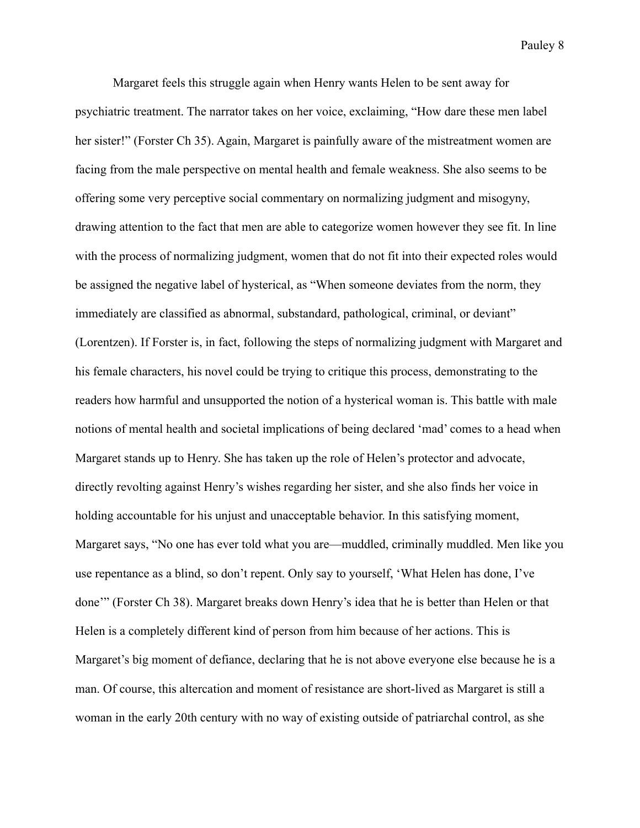Margaret feels this struggle again when Henry wants Helen to be sent away for psychiatric treatment. The narrator takes on her voice, exclaiming, "How dare these men label her sister!" (Forster Ch 35). Again, Margaret is painfully aware of the mistreatment women are facing from the male perspective on mental health and female weakness. She also seems to be offering some very perceptive social commentary on normalizing judgment and misogyny, drawing attention to the fact that men are able to categorize women however they see fit. In line with the process of normalizing judgment, women that do not fit into their expected roles would be assigned the negative label of hysterical, as "When someone deviates from the norm, they immediately are classified as abnormal, substandard, pathological, criminal, or deviant" (Lorentzen). If Forster is, in fact, following the steps of normalizing judgment with Margaret and his female characters, his novel could be trying to critique this process, demonstrating to the readers how harmful and unsupported the notion of a hysterical woman is. This battle with male notions of mental health and societal implications of being declared 'mad' comes to a head when Margaret stands up to Henry. She has taken up the role of Helen's protector and advocate, directly revolting against Henry's wishes regarding her sister, and she also finds her voice in holding accountable for his unjust and unacceptable behavior. In this satisfying moment, Margaret says, "No one has ever told what you are—muddled, criminally muddled. Men like you use repentance as a blind, so don't repent. Only say to yourself, 'What Helen has done, I've done'" (Forster Ch 38). Margaret breaks down Henry's idea that he is better than Helen or that Helen is a completely different kind of person from him because of her actions. This is Margaret's big moment of defiance, declaring that he is not above everyone else because he is a man. Of course, this altercation and moment of resistance are short-lived as Margaret is still a woman in the early 20th century with no way of existing outside of patriarchal control, as she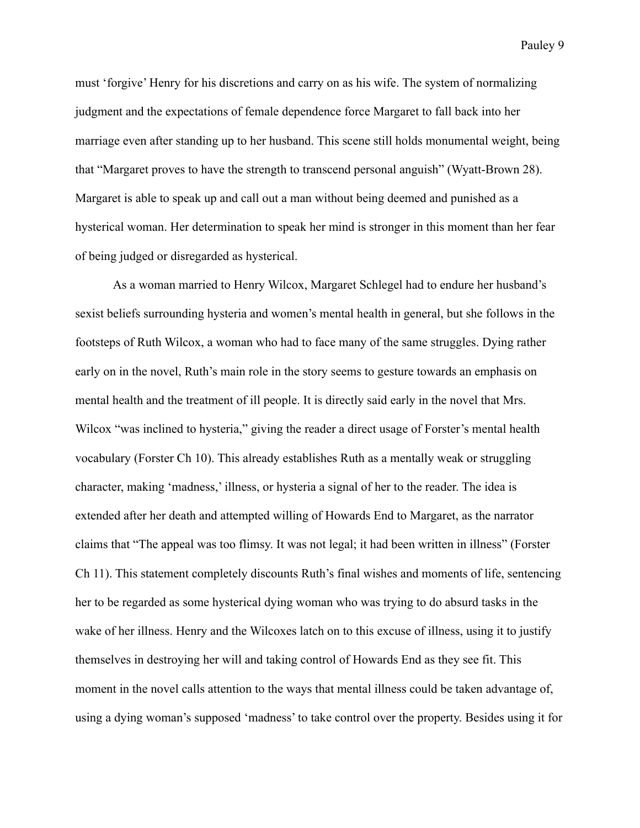must 'forgive' Henry for his discretions and carry on as his wife. The system of normalizing judgment and the expectations of female dependence force Margaret to fall back into her marriage even after standing up to her husband. This scene still holds monumental weight, being that "Margaret proves to have the strength to transcend personal anguish" (Wyatt-Brown 28). Margaret is able to speak up and call out a man without being deemed and punished as a hysterical woman. Her determination to speak her mind is stronger in this moment than her fear of being judged or disregarded as hysterical.

As a woman married to Henry Wilcox, Margaret Schlegel had to endure her husband's sexist beliefs surrounding hysteria and women's mental health in general, but she follows in the footsteps of Ruth Wilcox, a woman who had to face many of the same struggles. Dying rather early on in the novel, Ruth's main role in the story seems to gesture towards an emphasis on mental health and the treatment of ill people. It is directly said early in the novel that Mrs. Wilcox "was inclined to hysteria," giving the reader a direct usage of Forster's mental health vocabulary (Forster Ch 10). This already establishes Ruth as a mentally weak or struggling character, making 'madness,' illness, or hysteria a signal of her to the reader. The idea is extended after her death and attempted willing of Howards End to Margaret, as the narrator claims that "The appeal was too flimsy. It was not legal; it had been written in illness" (Forster Ch 11). This statement completely discounts Ruth's final wishes and moments of life, sentencing her to be regarded as some hysterical dying woman who was trying to do absurd tasks in the wake of her illness. Henry and the Wilcoxes latch on to this excuse of illness, using it to justify themselves in destroying her will and taking control of Howards End as they see fit. This moment in the novel calls attention to the ways that mental illness could be taken advantage of, using a dying woman's supposed 'madness' to take control over the property. Besides using it for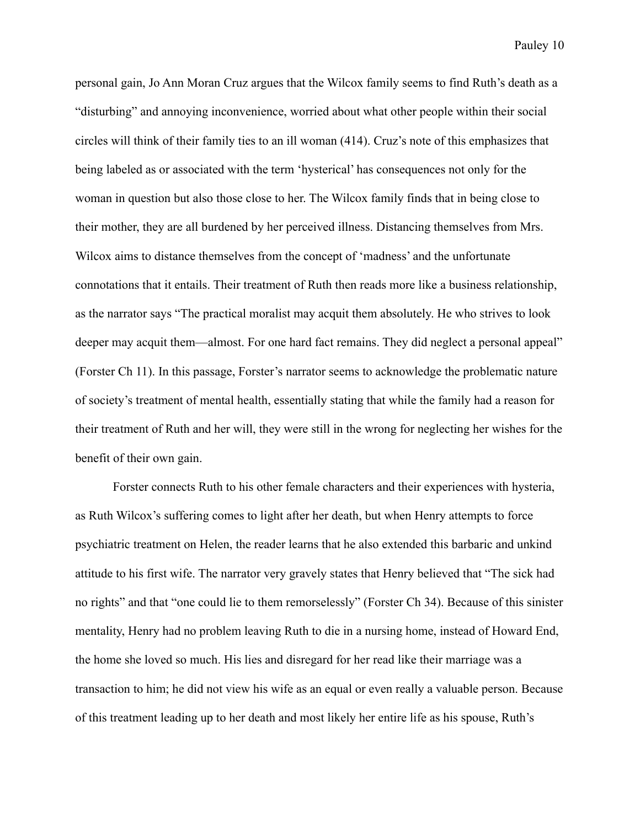personal gain, Jo Ann Moran Cruz argues that the Wilcox family seems to find Ruth's death as a "disturbing" and annoying inconvenience, worried about what other people within their social circles will think of their family ties to an ill woman (414). Cruz's note of this emphasizes that being labeled as or associated with the term 'hysterical' has consequences not only for the woman in question but also those close to her. The Wilcox family finds that in being close to their mother, they are all burdened by her perceived illness. Distancing themselves from Mrs. Wilcox aims to distance themselves from the concept of 'madness' and the unfortunate connotations that it entails. Their treatment of Ruth then reads more like a business relationship, as the narrator says "The practical moralist may acquit them absolutely. He who strives to look deeper may acquit them—almost. For one hard fact remains. They did neglect a personal appeal" (Forster Ch 11). In this passage, Forster's narrator seems to acknowledge the problematic nature of society's treatment of mental health, essentially stating that while the family had a reason for their treatment of Ruth and her will, they were still in the wrong for neglecting her wishes for the benefit of their own gain.

Forster connects Ruth to his other female characters and their experiences with hysteria, as Ruth Wilcox's suffering comes to light after her death, but when Henry attempts to force psychiatric treatment on Helen, the reader learns that he also extended this barbaric and unkind attitude to his first wife. The narrator very gravely states that Henry believed that "The sick had no rights" and that "one could lie to them remorselessly" (Forster Ch 34). Because of this sinister mentality, Henry had no problem leaving Ruth to die in a nursing home, instead of Howard End, the home she loved so much. His lies and disregard for her read like their marriage was a transaction to him; he did not view his wife as an equal or even really a valuable person. Because of this treatment leading up to her death and most likely her entire life as his spouse, Ruth's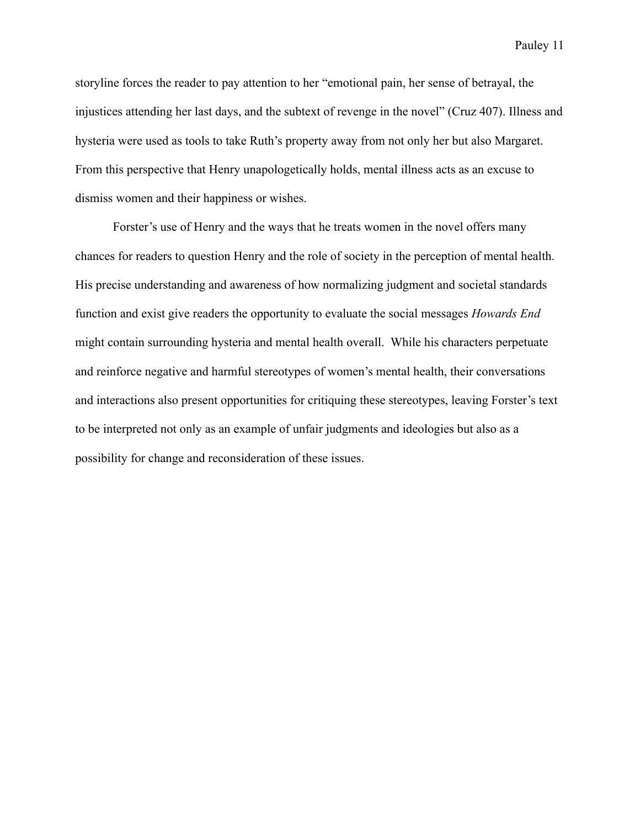storyline forces the reader to pay attention to her "emotional pain, her sense of betrayal, the injustices attending her last days, and the subtext of revenge in the novel" (Cruz 407). Illness and hysteria were used as tools to take Ruth's property away from not only her but also Margaret. From this perspective that Henry unapologetically holds, mental illness acts as an excuse to dismiss women and their happiness or wishes.

Forster's use of Henry and the ways that he treats women in the novel offers many chances for readers to question Henry and the role of society in the perception of mental health. His precise understanding and awareness of how normalizing judgment and societal standards function and exist give readers the opportunity to evaluate the social messages *Howards End* might contain surrounding hysteria and mental health overall. While his characters perpetuate and reinforce negative and harmful stereotypes of women's mental health, their conversations and interactions also present opportunities for critiquing these stereotypes, leaving Forster's text to be interpreted not only as an example of unfair judgments and ideologies but also as a possibility for change and reconsideration of these issues.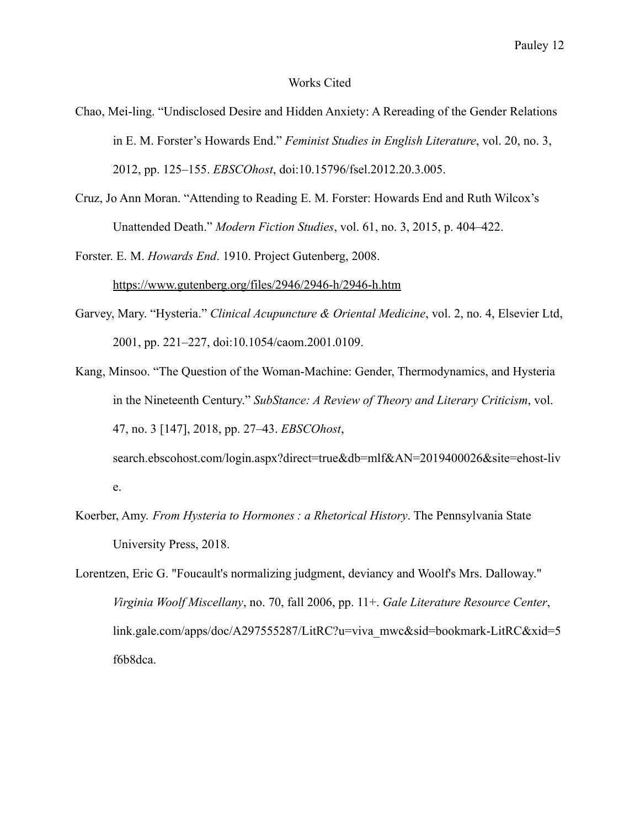## Works Cited

- Chao, Mei-ling. "Undisclosed Desire and Hidden Anxiety: A Rereading of the Gender Relations in E. M. Forster's Howards End." *Feminist Studies in English Literature*, vol. 20, no. 3, 2012, pp. 125–155. *EBSCOhost*, doi:10.15796/fsel.2012.20.3.005.
- Cruz, Jo Ann Moran. "Attending to Reading E. M. Forster: Howards End and Ruth Wilcox's Unattended Death." *Modern Fiction Studies*, vol. 61, no. 3, 2015, p. 404–422.

Forster. E. M. *Howards End*. 1910. Project Gutenberg, 2008. <https://www.gutenberg.org/files/2946/2946-h/2946-h.htm>

- Garvey, Mary. "Hysteria." *Clinical Acupuncture & Oriental Medicine*, vol. 2, no. 4, Elsevier Ltd, 2001, pp. 221–227, doi:10.1054/caom.2001.0109.
- Kang, Minsoo. "The Question of the Woman-Machine: Gender, Thermodynamics, and Hysteria in the Nineteenth Century." *SubStance: A Review of Theory and Literary Criticism*, vol. 47, no. 3 [147], 2018, pp. 27–43. *EBSCOhost*,

search.ebscohost.com/login.aspx?direct=true&db=mlf&AN=2019400026&site=ehost-liv

e.

- Koerber, Amy. *From Hysteria to Hormones : a Rhetorical History*. The Pennsylvania State University Press, 2018.
- Lorentzen, Eric G. "Foucault's normalizing judgment, deviancy and Woolf's Mrs. Dalloway." *Virginia Woolf Miscellany*, no. 70, fall 2006, pp. 11+. *Gale Literature Resource Center*, link.gale.com/apps/doc/A297555287/LitRC?u=viva\_mwc&sid=bookmark-LitRC&xid=5 f6b8dca.